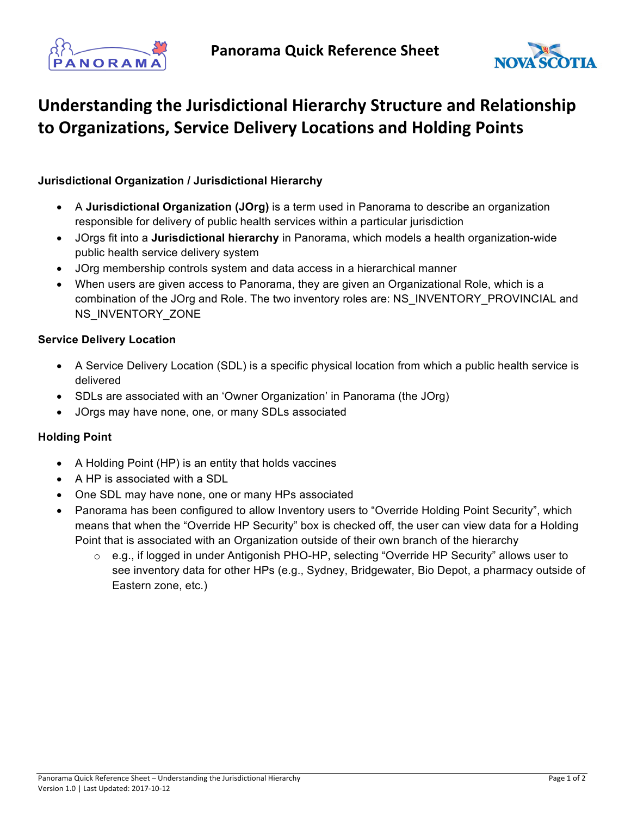



## **Understanding the Jurisdictional Hierarchy Structure and Relationship to Organizations, Service Delivery Locations and Holding Points**

## **Jurisdictional Organization / Jurisdictional Hierarchy**

- A **Jurisdictional Organization (JOrg)** is a term used in Panorama to describe an organization responsible for delivery of public health services within a particular jurisdiction
- JOrgs fit into a **Jurisdictional hierarchy** in Panorama, which models a health organization-wide public health service delivery system
- JOrg membership controls system and data access in a hierarchical manner
- When users are given access to Panorama, they are given an Organizational Role, which is a combination of the JOrg and Role. The two inventory roles are: NS\_INVENTORY\_PROVINCIAL and NS\_INVENTORY\_ZONE

## **Service Delivery Location**

- A Service Delivery Location (SDL) is a specific physical location from which a public health service is delivered
- SDLs are associated with an 'Owner Organization' in Panorama (the JOrg)
- JOrgs may have none, one, or many SDLs associated

## **Holding Point**

- A Holding Point (HP) is an entity that holds vaccines
- A HP is associated with a SDL
- One SDL may have none, one or many HPs associated
- Panorama has been configured to allow Inventory users to "Override Holding Point Security", which means that when the "Override HP Security" box is checked off, the user can view data for a Holding Point that is associated with an Organization outside of their own branch of the hierarchy
	- o e.g., if logged in under Antigonish PHO-HP, selecting "Override HP Security" allows user to see inventory data for other HPs (e.g., Sydney, Bridgewater, Bio Depot, a pharmacy outside of Eastern zone, etc.)